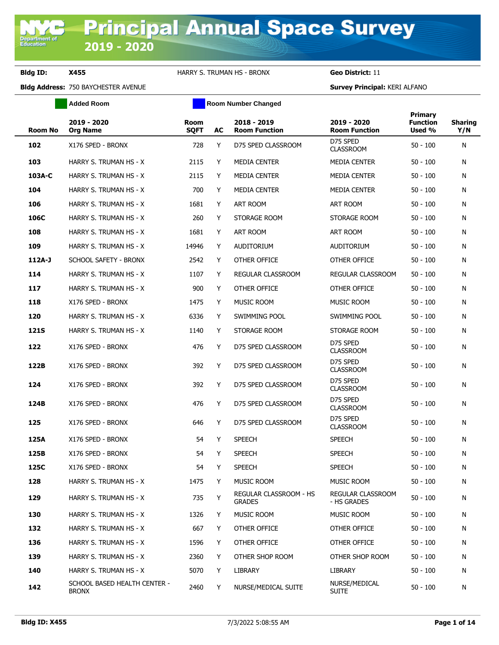**Department of**<br>Education

**Bldg ID: X455** HARRY S. TRUMAN HS - BRONX **Geo District:** 11

**Added Room Room Room Number Changed** 

|                |                                              |                     |    |                                         |                                     | Primary                   |                       |
|----------------|----------------------------------------------|---------------------|----|-----------------------------------------|-------------------------------------|---------------------------|-----------------------|
| <b>Room No</b> | 2019 - 2020<br><b>Org Name</b>               | Room<br><b>SQFT</b> | AC | 2018 - 2019<br><b>Room Function</b>     | 2019 - 2020<br><b>Room Function</b> | <b>Function</b><br>Used % | <b>Sharing</b><br>Y/N |
| 102            | X176 SPED - BRONX                            | 728                 | Y  | D75 SPED CLASSROOM                      | D75 SPED<br><b>CLASSROOM</b>        | $50 - 100$                | N                     |
| 103            | HARRY S. TRUMAN HS - X                       | 2115                | Y  | <b>MEDIA CENTER</b>                     | <b>MEDIA CENTER</b>                 | $50 - 100$                | N                     |
| 103A-C         | HARRY S. TRUMAN HS - X                       | 2115                | Y  | <b>MEDIA CENTER</b>                     | <b>MEDIA CENTER</b>                 | $50 - 100$                | N                     |
| 104            | HARRY S. TRUMAN HS - X                       | 700                 | Y  | <b>MEDIA CENTER</b>                     | <b>MEDIA CENTER</b>                 | $50 - 100$                | N                     |
| 106            | HARRY S. TRUMAN HS - X                       | 1681                | Y  | ART ROOM                                | ART ROOM                            | $50 - 100$                | N                     |
| 106C           | HARRY S. TRUMAN HS - X                       | 260                 | Y  | STORAGE ROOM                            | STORAGE ROOM                        | $50 - 100$                | N                     |
| 108            | HARRY S. TRUMAN HS - X                       | 1681                | Y  | ART ROOM                                | ART ROOM                            | $50 - 100$                | N                     |
| 109            | HARRY S. TRUMAN HS - X                       | 14946               | Y  | <b>AUDITORIUM</b>                       | <b>AUDITORIUM</b>                   | $50 - 100$                | N                     |
| $112A-J$       | SCHOOL SAFETY - BRONX                        | 2542                | Y  | OTHER OFFICE                            | OTHER OFFICE                        | $50 - 100$                | N                     |
| 114            | HARRY S. TRUMAN HS - X                       | 1107                | Y  | REGULAR CLASSROOM                       | <b>REGULAR CLASSROOM</b>            | $50 - 100$                | N                     |
| 117            | HARRY S. TRUMAN HS - X                       | 900                 | Y  | OTHER OFFICE                            | OTHER OFFICE                        | $50 - 100$                | N                     |
| 118            | X176 SPED - BRONX                            | 1475                | Y  | <b>MUSIC ROOM</b>                       | <b>MUSIC ROOM</b>                   | $50 - 100$                | N                     |
| 120            | HARRY S. TRUMAN HS - X                       | 6336                | Y  | SWIMMING POOL                           | SWIMMING POOL                       | $50 - 100$                | N                     |
| <b>121S</b>    | HARRY S. TRUMAN HS - X                       | 1140                | Y  | STORAGE ROOM                            | STORAGE ROOM                        | $50 - 100$                | N                     |
| 122            | X176 SPED - BRONX                            | 476                 | Y  | D75 SPED CLASSROOM                      | D75 SPED<br><b>CLASSROOM</b>        | $50 - 100$                | N                     |
| 122B           | X176 SPED - BRONX                            | 392                 | Y  | D75 SPED CLASSROOM                      | D75 SPED<br><b>CLASSROOM</b>        | $50 - 100$                | N                     |
| 124            | X176 SPED - BRONX                            | 392                 | Y  | D75 SPED CLASSROOM                      | D75 SPED<br><b>CLASSROOM</b>        | $50 - 100$                | N                     |
| 124B           | X176 SPED - BRONX                            | 476                 | Y  | D75 SPED CLASSROOM                      | D75 SPED<br><b>CLASSROOM</b>        | $50 - 100$                | N                     |
| 125            | X176 SPED - BRONX                            | 646                 | Y  | D75 SPED CLASSROOM                      | D75 SPED<br><b>CLASSROOM</b>        | $50 - 100$                | N                     |
| 125A           | X176 SPED - BRONX                            | 54                  | Y  | <b>SPEECH</b>                           | <b>SPEECH</b>                       | $50 - 100$                | N                     |
| 125B           | X176 SPED - BRONX                            | 54                  | Y  | <b>SPEECH</b>                           | <b>SPEECH</b>                       | $50 - 100$                | N                     |
| 125C           | X176 SPED - BRONX                            | 54                  | Y  | <b>SPEECH</b>                           | <b>SPEECH</b>                       | $50 - 100$                | Ν                     |
| 128            | HARRY S. TRUMAN HS - X                       | 1475                | Y  | MUSIC ROOM                              | MUSIC ROOM                          | $50 - 100$                | N                     |
| 129            | HARRY S. TRUMAN HS - X                       | 735                 | Υ  | REGULAR CLASSROOM - HS<br><b>GRADES</b> | REGULAR CLASSROOM<br>- HS GRADES    | $50 - 100$                | N                     |
| 130            | HARRY S. TRUMAN HS - X                       | 1326                | Y  | MUSIC ROOM                              | MUSIC ROOM                          | $50 - 100$                | N                     |
| 132            | HARRY S. TRUMAN HS - X                       | 667                 | Y  | OTHER OFFICE                            | OTHER OFFICE                        | $50 - 100$                | N                     |
| 136            | HARRY S. TRUMAN HS - X                       | 1596                | Y  | OTHER OFFICE                            | OTHER OFFICE                        | $50 - 100$                | N                     |
| 139            | HARRY S. TRUMAN HS - X                       | 2360                | Y  | OTHER SHOP ROOM                         | OTHER SHOP ROOM                     | $50 - 100$                | N                     |
| 140            | HARRY S. TRUMAN HS - X                       | 5070                | Y  | LIBRARY                                 | LIBRARY                             | $50 - 100$                | N                     |
| 142            | SCHOOL BASED HEALTH CENTER -<br><b>BRONX</b> | 2460                | Y  | NURSE/MEDICAL SUITE                     | NURSE/MEDICAL<br><b>SUITE</b>       | $50 - 100$                | N                     |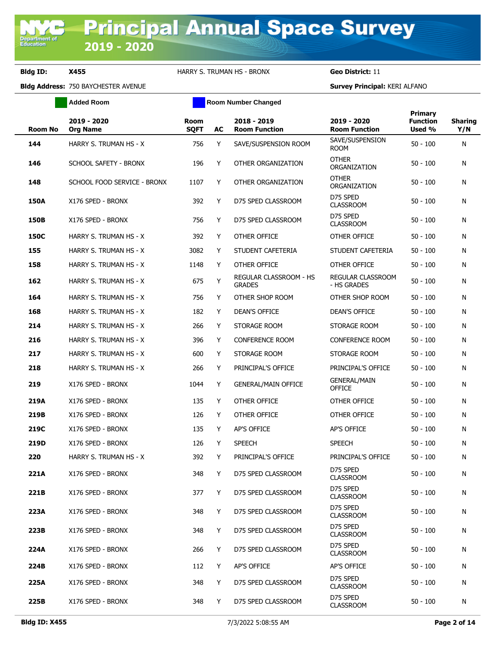**Added Room Room Room Number Changed** 

| <b>Room No</b> | 2019 - 2020<br><b>Org Name</b> | <b>Room</b><br><b>SQFT</b> | AC | 2018 - 2019<br><b>Room Function</b>     | 2019 - 2020<br><b>Room Function</b>  | Primary<br><b>Function</b><br>Used % | <b>Sharing</b><br>Y/N |
|----------------|--------------------------------|----------------------------|----|-----------------------------------------|--------------------------------------|--------------------------------------|-----------------------|
| 144            | HARRY S. TRUMAN HS - X         | 756                        | Y  | SAVE/SUSPENSION ROOM                    | SAVE/SUSPENSION<br><b>ROOM</b>       | 50 - 100                             | N                     |
| 146            | <b>SCHOOL SAFETY - BRONX</b>   | 196                        | Y  | OTHER ORGANIZATION                      | <b>OTHER</b><br>ORGANIZATION         | 50 - 100                             | N                     |
| 148            | SCHOOL FOOD SERVICE - BRONX    | 1107                       | Y  | OTHER ORGANIZATION                      | <b>OTHER</b><br>ORGANIZATION         | 50 - 100                             | N                     |
| <b>150A</b>    | X176 SPED - BRONX              | 392                        | Y  | D75 SPED CLASSROOM                      | D75 SPED<br><b>CLASSROOM</b>         | $50 - 100$                           | N                     |
| 150B           | X176 SPED - BRONX              | 756                        | Y  | D75 SPED CLASSROOM                      | D75 SPED<br><b>CLASSROOM</b>         | 50 - 100                             | N                     |
| 150C           | HARRY S. TRUMAN HS - X         | 392                        | Y  | OTHER OFFICE                            | OTHER OFFICE                         | 50 - 100                             | N                     |
| 155            | HARRY S. TRUMAN HS - X         | 3082                       | Y  | STUDENT CAFETERIA                       | STUDENT CAFETERIA                    | 50 - 100                             | N                     |
| 158            | HARRY S. TRUMAN HS - X         | 1148                       | Y  | OTHER OFFICE                            | OTHER OFFICE                         | 50 - 100                             | N                     |
| 162            | HARRY S. TRUMAN HS - X         | 675                        | Υ  | REGULAR CLASSROOM - HS<br><b>GRADES</b> | REGULAR CLASSROOM<br>- HS GRADES     | $50 - 100$                           | N                     |
| 164            | HARRY S. TRUMAN HS - X         | 756                        | Y  | OTHER SHOP ROOM                         | OTHER SHOP ROOM                      | 50 - 100                             | N                     |
| 168            | HARRY S. TRUMAN HS - X         | 182                        | Y  | <b>DEAN'S OFFICE</b>                    | <b>DEAN'S OFFICE</b>                 | 50 - 100                             | N                     |
| 214            | HARRY S. TRUMAN HS - X         | 266                        | Y  | STORAGE ROOM                            | STORAGE ROOM                         | 50 - 100                             | N                     |
| 216            | HARRY S. TRUMAN HS - X         | 396                        | Y  | <b>CONFERENCE ROOM</b>                  | CONFERENCE ROOM                      | 50 - 100                             | N                     |
| 217            | HARRY S. TRUMAN HS - X         | 600                        | Y  | STORAGE ROOM                            | STORAGE ROOM                         | 50 - 100                             | N                     |
| 218            | HARRY S. TRUMAN HS - X         | 266                        | Y  | PRINCIPAL'S OFFICE                      | PRINCIPAL'S OFFICE                   | 50 - 100                             | N                     |
| 219            | X176 SPED - BRONX              | 1044                       | Y  | <b>GENERAL/MAIN OFFICE</b>              | <b>GENERAL/MAIN</b><br><b>OFFICE</b> | 50 - 100                             | N                     |
| 219A           | X176 SPED - BRONX              | 135                        | Y  | OTHER OFFICE                            | OTHER OFFICE                         | 50 - 100                             | N                     |
| 219B           | X176 SPED - BRONX              | 126                        | Y  | OTHER OFFICE                            | OTHER OFFICE                         | 50 - 100                             | N                     |
| 219C           | X176 SPED - BRONX              | 135                        | Y  | AP'S OFFICE                             | <b>AP'S OFFICE</b>                   | 50 - 100                             | N                     |
| 219D           | X176 SPED - BRONX              | 126                        | Y  | <b>SPEECH</b>                           | <b>SPEECH</b>                        | 50 - 100                             | N                     |
| 220            | HARRY S. TRUMAN HS - X         | 392                        | Y  | PRINCIPAL'S OFFICE                      | PRINCIPAL'S OFFICE                   | 50 - 100                             | N                     |
| 221A           | X176 SPED - BRONX              | 348                        | Y  | D75 SPED CLASSROOM                      | D75 SPED<br><b>CLASSROOM</b>         | $50 - 100$                           | N                     |
| 221B           | X176 SPED - BRONX              | 377                        | Y  | D75 SPED CLASSROOM                      | D75 SPED<br><b>CLASSROOM</b>         | $50 - 100$                           | N                     |
| 223A           | X176 SPED - BRONX              | 348                        | Y  | D75 SPED CLASSROOM                      | D75 SPED<br><b>CLASSROOM</b>         | 50 - 100                             | N                     |
| 223B           | X176 SPED - BRONX              | 348                        | Y  | D75 SPED CLASSROOM                      | D75 SPED<br><b>CLASSROOM</b>         | 50 - 100                             | N                     |
| 224A           | X176 SPED - BRONX              | 266                        | Y  | D75 SPED CLASSROOM                      | D75 SPED<br><b>CLASSROOM</b>         | 50 - 100                             | N                     |
| 224B           | X176 SPED - BRONX              | 112                        | Y  | AP'S OFFICE                             | AP'S OFFICE                          | $50 - 100$                           | N                     |
| 225A           | X176 SPED - BRONX              | 348                        | Y  | D75 SPED CLASSROOM                      | D75 SPED<br><b>CLASSROOM</b>         | 50 - 100                             | N                     |
| 225B           | X176 SPED - BRONX              | 348                        | Y  | D75 SPED CLASSROOM                      | D75 SPED<br><b>CLASSROOM</b>         | $50 - 100$                           | N                     |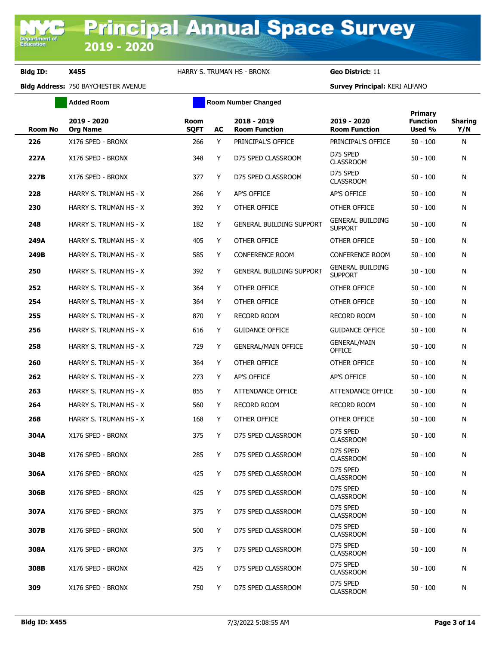**Added Room Room Room Number Changed** 

| <b>Room No</b> | 2019 - 2020<br><b>Org Name</b> | <b>Room</b><br><b>SQFT</b> | AC | 2018 - 2019<br><b>Room Function</b> | 2019 - 2020<br><b>Room Function</b>       | Primary<br><b>Function</b><br>Used % | <b>Sharing</b><br>Y/N |
|----------------|--------------------------------|----------------------------|----|-------------------------------------|-------------------------------------------|--------------------------------------|-----------------------|
| 226            | X176 SPED - BRONX              | 266                        | Y  | PRINCIPAL'S OFFICE                  | PRINCIPAL'S OFFICE                        | $50 - 100$                           | N                     |
| 227A           | X176 SPED - BRONX              | 348                        | Y  | D75 SPED CLASSROOM                  | D75 SPED<br><b>CLASSROOM</b>              | $50 - 100$                           | N                     |
| 227B           | X176 SPED - BRONX              | 377                        | Y  | D75 SPED CLASSROOM                  | D75 SPED<br><b>CLASSROOM</b>              | $50 - 100$                           | N                     |
| 228            | HARRY S. TRUMAN HS - X         | 266                        | Y  | AP'S OFFICE                         | <b>AP'S OFFICE</b>                        | $50 - 100$                           | N                     |
| 230            | HARRY S. TRUMAN HS - X         | 392                        | Y  | OTHER OFFICE                        | OTHER OFFICE                              | $50 - 100$                           | N                     |
| 248            | HARRY S. TRUMAN HS - X         | 182                        | Y  | <b>GENERAL BUILDING SUPPORT</b>     | <b>GENERAL BUILDING</b><br><b>SUPPORT</b> | $50 - 100$                           | N                     |
| 249A           | HARRY S. TRUMAN HS - X         | 405                        | Y  | OTHER OFFICE                        | OTHER OFFICE                              | $50 - 100$                           | N                     |
| 249B           | HARRY S. TRUMAN HS - X         | 585                        | Y  | <b>CONFERENCE ROOM</b>              | <b>CONFERENCE ROOM</b>                    | $50 - 100$                           | N                     |
| 250            | HARRY S. TRUMAN HS - X         | 392                        | Y  | <b>GENERAL BUILDING SUPPORT</b>     | <b>GENERAL BUILDING</b><br><b>SUPPORT</b> | $50 - 100$                           | N                     |
| 252            | HARRY S. TRUMAN HS - X         | 364                        | Y  | OTHER OFFICE                        | OTHER OFFICE                              | $50 - 100$                           | N                     |
| 254            | HARRY S. TRUMAN HS - X         | 364                        | Y  | OTHER OFFICE                        | OTHER OFFICE                              | $50 - 100$                           | N                     |
| 255            | HARRY S. TRUMAN HS - X         | 870                        | Y  | <b>RECORD ROOM</b>                  | RECORD ROOM                               | $50 - 100$                           | N                     |
| 256            | HARRY S. TRUMAN HS - X         | 616                        | Y  | <b>GUIDANCE OFFICE</b>              | <b>GUIDANCE OFFICE</b>                    | $50 - 100$                           | N                     |
| 258            | HARRY S. TRUMAN HS - X         | 729                        | Y  | <b>GENERAL/MAIN OFFICE</b>          | <b>GENERAL/MAIN</b><br><b>OFFICE</b>      | $50 - 100$                           | N                     |
| 260            | HARRY S. TRUMAN HS - X         | 364                        | Y  | OTHER OFFICE                        | OTHER OFFICE                              | $50 - 100$                           | N                     |
| 262            | HARRY S. TRUMAN HS - X         | 273                        | Y  | <b>AP'S OFFICE</b>                  | AP'S OFFICE                               | $50 - 100$                           | N                     |
| 263            | HARRY S. TRUMAN HS - X         | 855                        | Y  | ATTENDANCE OFFICE                   | ATTENDANCE OFFICE                         | $50 - 100$                           | N                     |
| 264            | HARRY S. TRUMAN HS - X         | 560                        | Y  | <b>RECORD ROOM</b>                  | RECORD ROOM                               | $50 - 100$                           | N                     |
| 268            | HARRY S. TRUMAN HS - X         | 168                        | Y  | OTHER OFFICE                        | OTHER OFFICE                              | $50 - 100$                           | N                     |
| 304A           | X176 SPED - BRONX              | 375                        | Y  | D75 SPED CLASSROOM                  | D75 SPED<br><b>CLASSROOM</b>              | $50 - 100$                           | N                     |
| 304B           | X176 SPED - BRONX              | 285                        | Y  | D75 SPED CLASSROOM                  | D75 SPED<br><b>CLASSROOM</b>              | $50 - 100$                           | N                     |
| 306A           | X176 SPED - BRONX              | 425                        | Y  | D75 SPED CLASSROOM                  | D75 SPED<br><b>CLASSROOM</b>              | $50 - 100$                           | N                     |
| 306B           | X176 SPED - BRONX              | 425                        | Y  | D75 SPED CLASSROOM                  | D75 SPED<br><b>CLASSROOM</b>              | $50 - 100$                           | N                     |
| 307A           | X176 SPED - BRONX              | 375                        | Y  | D75 SPED CLASSROOM                  | D75 SPED<br><b>CLASSROOM</b>              | $50 - 100$                           | N                     |
| 307B           | X176 SPED - BRONX              | 500                        | Y  | D75 SPED CLASSROOM                  | D75 SPED<br><b>CLASSROOM</b>              | $50 - 100$                           | N                     |
| 308A           | X176 SPED - BRONX              | 375                        | Y  | D75 SPED CLASSROOM                  | D75 SPED<br><b>CLASSROOM</b>              | $50 - 100$                           | N                     |
| 308B           | X176 SPED - BRONX              | 425                        | Y  | D75 SPED CLASSROOM                  | D75 SPED<br><b>CLASSROOM</b>              | $50 - 100$                           | N                     |
| 309            | X176 SPED - BRONX              | 750                        | Y  | D75 SPED CLASSROOM                  | D75 SPED<br><b>CLASSROOM</b>              | $50 - 100$                           | N                     |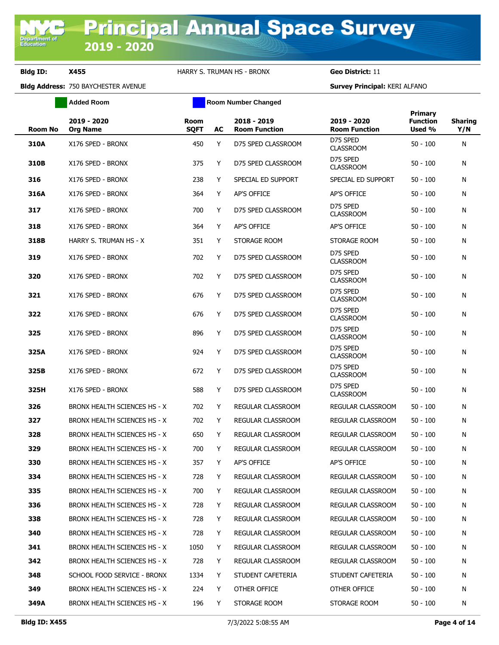**Added Room Room Room Number Changed** 

| <b>Room No</b> | 2019 - 2020<br><b>Org Name</b>      | <b>Room</b><br><b>SQFT</b> | AC | 2018 - 2019<br><b>Room Function</b> | 2019 - 2020<br><b>Room Function</b> | <b>Primary</b><br><b>Function</b><br>Used % | <b>Sharing</b><br>Y/N |
|----------------|-------------------------------------|----------------------------|----|-------------------------------------|-------------------------------------|---------------------------------------------|-----------------------|
| 310A           | X176 SPED - BRONX                   | 450                        | Y  | D75 SPED CLASSROOM                  | D75 SPED<br><b>CLASSROOM</b>        | $50 - 100$                                  | N                     |
| 310B           | X176 SPED - BRONX                   | 375                        | Y  | D75 SPED CLASSROOM                  | D75 SPED<br><b>CLASSROOM</b>        | $50 - 100$                                  | N                     |
| 316            | X176 SPED - BRONX                   | 238                        | Y  | SPECIAL ED SUPPORT                  | SPECIAL ED SUPPORT                  | $50 - 100$                                  | N                     |
| 316A           | X176 SPED - BRONX                   | 364                        | Y  | AP'S OFFICE                         | AP'S OFFICE                         | $50 - 100$                                  | N                     |
| 317            | X176 SPED - BRONX                   | 700                        | Y  | D75 SPED CLASSROOM                  | D75 SPED<br><b>CLASSROOM</b>        | $50 - 100$                                  | N                     |
| 318            | X176 SPED - BRONX                   | 364                        | Y  | <b>AP'S OFFICE</b>                  | AP'S OFFICE                         | $50 - 100$                                  | N                     |
| 318B           | HARRY S. TRUMAN HS - X              | 351                        | Y  | STORAGE ROOM                        | STORAGE ROOM                        | $50 - 100$                                  | N                     |
| 319            | X176 SPED - BRONX                   | 702                        | Y  | D75 SPED CLASSROOM                  | D75 SPED<br><b>CLASSROOM</b>        | $50 - 100$                                  | N                     |
| 320            | X176 SPED - BRONX                   | 702                        | Y  | D75 SPED CLASSROOM                  | D75 SPED<br><b>CLASSROOM</b>        | $50 - 100$                                  | N                     |
| 321            | X176 SPED - BRONX                   | 676                        | Y  | D75 SPED CLASSROOM                  | D75 SPED<br><b>CLASSROOM</b>        | $50 - 100$                                  | N                     |
| 322            | X176 SPED - BRONX                   | 676                        | Y  | D75 SPED CLASSROOM                  | D75 SPED<br><b>CLASSROOM</b>        | $50 - 100$                                  | N                     |
| 325            | X176 SPED - BRONX                   | 896                        | Y  | D75 SPED CLASSROOM                  | D75 SPED<br><b>CLASSROOM</b>        | $50 - 100$                                  | N                     |
| 325A           | X176 SPED - BRONX                   | 924                        | Y  | D75 SPED CLASSROOM                  | D75 SPED<br><b>CLASSROOM</b>        | $50 - 100$                                  | N                     |
| 325B           | X176 SPED - BRONX                   | 672                        | Y  | D75 SPED CLASSROOM                  | D75 SPED<br><b>CLASSROOM</b>        | $50 - 100$                                  | N                     |
| 325H           | X176 SPED - BRONX                   | 588                        | Y  | D75 SPED CLASSROOM                  | D75 SPED<br><b>CLASSROOM</b>        | $50 - 100$                                  | N                     |
| 326            | BRONX HEALTH SCIENCES HS - X        | 702                        | Y  | REGULAR CLASSROOM                   | REGULAR CLASSROOM                   | $50 - 100$                                  | N                     |
| 327            | BRONX HEALTH SCIENCES HS - X        | 702                        | Y  | REGULAR CLASSROOM                   | REGULAR CLASSROOM                   | $50 - 100$                                  | N                     |
| 328            | BRONX HEALTH SCIENCES HS - X        | 650                        | Y  | REGULAR CLASSROOM                   | REGULAR CLASSROOM                   | $50 - 100$                                  | N                     |
| 329            | BRONX HEALTH SCIENCES HS - X        | 700                        | Y  | <b>REGULAR CLASSROOM</b>            | REGULAR CLASSROOM                   | $50 - 100$                                  | N                     |
| 330            | <b>BRONX HEALTH SCIENCES HS - X</b> | 357                        | Y  | <b>AP'S OFFICE</b>                  | AP'S OFFICE                         | $50 - 100$                                  | N                     |
| 334            | BRONX HEALTH SCIENCES HS - X        | 728                        | Y  | REGULAR CLASSROOM                   | REGULAR CLASSROOM                   | 50 - 100                                    | N                     |
| 335            | BRONX HEALTH SCIENCES HS - X        | 700                        | Y  | REGULAR CLASSROOM                   | REGULAR CLASSROOM                   | $50 - 100$                                  | N                     |
| 336            | BRONX HEALTH SCIENCES HS - X        | 728                        | Y  | REGULAR CLASSROOM                   | REGULAR CLASSROOM                   | $50 - 100$                                  | N                     |
| 338            | BRONX HEALTH SCIENCES HS - X        | 728                        | Y  | REGULAR CLASSROOM                   | REGULAR CLASSROOM                   | $50 - 100$                                  | N                     |
| 340            | BRONX HEALTH SCIENCES HS - X        | 728                        | Y  | REGULAR CLASSROOM                   | REGULAR CLASSROOM                   | $50 - 100$                                  | N                     |
| 341            | BRONX HEALTH SCIENCES HS - X        | 1050                       | Y  | <b>REGULAR CLASSROOM</b>            | REGULAR CLASSROOM                   | $50 - 100$                                  | N                     |
| 342            | BRONX HEALTH SCIENCES HS - X        | 728                        | Y  | REGULAR CLASSROOM                   | REGULAR CLASSROOM                   | $50 - 100$                                  | N                     |
| 348            | SCHOOL FOOD SERVICE - BRONX         | 1334                       | Y  | STUDENT CAFETERIA                   | STUDENT CAFETERIA                   | $50 - 100$                                  | N                     |
| 349            | BRONX HEALTH SCIENCES HS - X        | 224                        | Y  | OTHER OFFICE                        | OTHER OFFICE                        | 50 - 100                                    | N                     |
| 349A           | BRONX HEALTH SCIENCES HS - X        | 196                        | Y  | STORAGE ROOM                        | STORAGE ROOM                        | $50 - 100$                                  | N                     |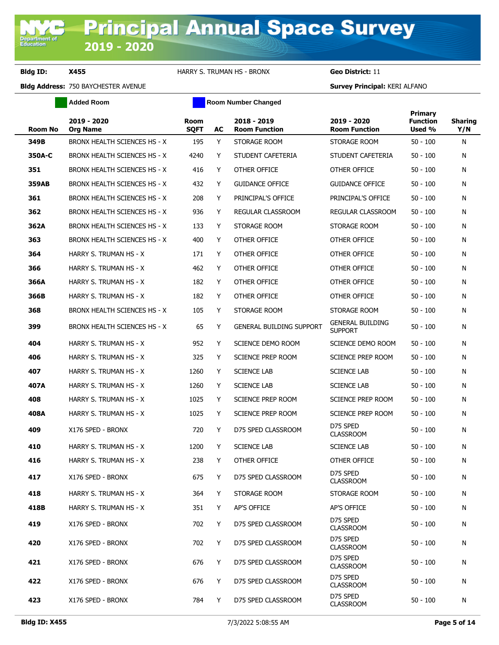**Added Room Room Room Number Changed** 

| <b>Room No</b> | 2019 - 2020<br><b>Org Name</b> | <b>Room</b><br><b>SQFT</b> | AC | 2018 - 2019<br><b>Room Function</b> | 2019 - 2020<br><b>Room Function</b>       | Primary<br><b>Function</b><br>Used % | <b>Sharing</b><br>Y/N |
|----------------|--------------------------------|----------------------------|----|-------------------------------------|-------------------------------------------|--------------------------------------|-----------------------|
| 349B           | BRONX HEALTH SCIENCES HS - X   | 195                        | Y  | STORAGE ROOM                        | STORAGE ROOM                              | $50 - 100$                           | N                     |
| 350A-C         | BRONX HEALTH SCIENCES HS - X   | 4240                       | Y  | STUDENT CAFETERIA                   | STUDENT CAFETERIA                         | $50 - 100$                           | N                     |
| 351            | BRONX HEALTH SCIENCES HS - X   | 416                        | Y  | OTHER OFFICE                        | OTHER OFFICE                              | 50 - 100                             | N                     |
| 359AB          | BRONX HEALTH SCIENCES HS - X   | 432                        | Y  | <b>GUIDANCE OFFICE</b>              | <b>GUIDANCE OFFICE</b>                    | 50 - 100                             | N                     |
| 361            | BRONX HEALTH SCIENCES HS - X   | 208                        | Y  | PRINCIPAL'S OFFICE                  | PRINCIPAL'S OFFICE                        | 50 - 100                             | N                     |
| 362            | BRONX HEALTH SCIENCES HS - X   | 936                        | Y  | REGULAR CLASSROOM                   | REGULAR CLASSROOM                         | $50 - 100$                           | N                     |
| 362A           | BRONX HEALTH SCIENCES HS - X   | 133                        | Y  | STORAGE ROOM                        | STORAGE ROOM                              | $50 - 100$                           | N                     |
| 363            | BRONX HEALTH SCIENCES HS - X   | 400                        | Y  | OTHER OFFICE                        | OTHER OFFICE                              | 50 - 100                             | N                     |
| 364            | HARRY S. TRUMAN HS - X         | 171                        | Y  | OTHER OFFICE                        | OTHER OFFICE                              | 50 - 100                             | N                     |
| 366            | HARRY S. TRUMAN HS - X         | 462                        | Y  | OTHER OFFICE                        | OTHER OFFICE                              | 50 - 100                             | N                     |
| 366A           | HARRY S. TRUMAN HS - X         | 182                        | Y  | OTHER OFFICE                        | OTHER OFFICE                              | 50 - 100                             | N                     |
| 366B           | HARRY S. TRUMAN HS - X         | 182                        | Y  | OTHER OFFICE                        | OTHER OFFICE                              | 50 - 100                             | N                     |
| 368            | BRONX HEALTH SCIENCES HS - X   | 105                        | Y  | STORAGE ROOM                        | STORAGE ROOM                              | $50 - 100$                           | N                     |
| 399            | BRONX HEALTH SCIENCES HS - X   | 65                         | Y  | <b>GENERAL BUILDING SUPPORT</b>     | <b>GENERAL BUILDING</b><br><b>SUPPORT</b> | 50 - 100                             | N                     |
| 404            | HARRY S. TRUMAN HS - X         | 952                        | Y  | SCIENCE DEMO ROOM                   | SCIENCE DEMO ROOM                         | 50 - 100                             | N                     |
| 406            | HARRY S. TRUMAN HS - X         | 325                        | Y  | SCIENCE PREP ROOM                   | SCIENCE PREP ROOM                         | 50 - 100                             | N                     |
| 407            | HARRY S. TRUMAN HS - X         | 1260                       | Y  | <b>SCIENCE LAB</b>                  | <b>SCIENCE LAB</b>                        | 50 - 100                             | N                     |
| 407A           | HARRY S. TRUMAN HS - X         | 1260                       | Y  | <b>SCIENCE LAB</b>                  | <b>SCIENCE LAB</b>                        | 50 - 100                             | N                     |
| 408            | HARRY S. TRUMAN HS - X         | 1025                       | Y  | SCIENCE PREP ROOM                   | SCIENCE PREP ROOM                         | 50 - 100                             | N                     |
| 408A           | HARRY S. TRUMAN HS - X         | 1025                       | Y  | <b>SCIENCE PREP ROOM</b>            | SCIENCE PREP ROOM                         | 50 - 100                             | N                     |
| 409            | X176 SPED - BRONX              | 720                        | Y  | D75 SPED CLASSROOM                  | D75 SPED<br><b>CLASSROOM</b>              | 50 - 100                             | N                     |
| 410            | HARRY S. TRUMAN HS - X         | 1200                       | Y  | <b>SCIENCE LAB</b>                  | <b>SCIENCE LAB</b>                        | 50 - 100                             | N                     |
| 416            | HARRY S. TRUMAN HS - X         | 238                        | Y  | OTHER OFFICE                        | OTHER OFFICE                              | 50 - 100                             | N                     |
| 417            | X176 SPED - BRONX              | 675                        | Y  | D75 SPED CLASSROOM                  | D75 SPED<br><b>CLASSROOM</b>              | $50 - 100$                           | Ν                     |
| 418            | HARRY S. TRUMAN HS - X         | 364                        | Y  | STORAGE ROOM                        | STORAGE ROOM                              | $50 - 100$                           | N                     |
| 418B           | HARRY S. TRUMAN HS - X         | 351                        | Y  | AP'S OFFICE                         | AP'S OFFICE                               | $50 - 100$                           | N                     |
| 419            | X176 SPED - BRONX              | 702                        | Y  | D75 SPED CLASSROOM                  | D75 SPED<br><b>CLASSROOM</b>              | 50 - 100                             | N                     |
| 420            | X176 SPED - BRONX              | 702                        | Y  | D75 SPED CLASSROOM                  | D75 SPED<br><b>CLASSROOM</b>              | 50 - 100                             | N                     |
| 421            | X176 SPED - BRONX              | 676                        | Y  | D75 SPED CLASSROOM                  | D75 SPED<br><b>CLASSROOM</b>              | 50 - 100                             | N                     |
| 422            | X176 SPED - BRONX              | 676                        | Y  | D75 SPED CLASSROOM                  | D75 SPED<br><b>CLASSROOM</b>              | 50 - 100                             | N                     |
| 423            | X176 SPED - BRONX              | 784                        | Y  | D75 SPED CLASSROOM                  | D75 SPED<br><b>CLASSROOM</b>              | $50 - 100$                           | N                     |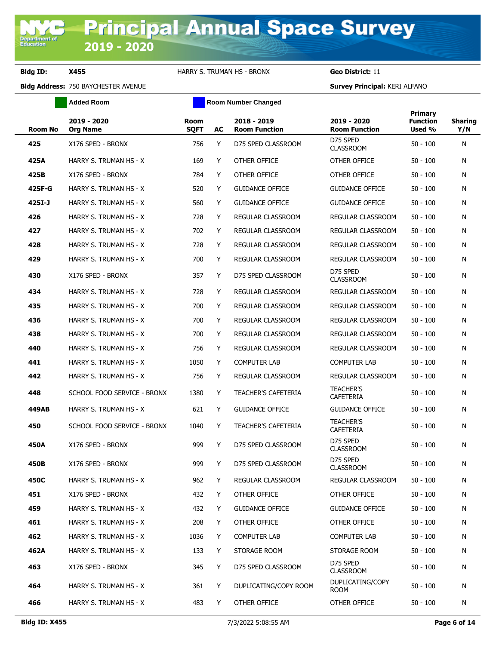**Added Room Room Room Number Changed** 

| <b>Room No</b> | 2019 - 2020<br><b>Org Name</b> | <b>Room</b><br><b>SQFT</b> | AC | 2018 - 2019<br><b>Room Function</b> | 2019 - 2020<br><b>Room Function</b>  | <b>Primary</b><br><b>Function</b><br>Used % | <b>Sharing</b><br>Y/N |
|----------------|--------------------------------|----------------------------|----|-------------------------------------|--------------------------------------|---------------------------------------------|-----------------------|
| 425            | X176 SPED - BRONX              | 756                        | Y  | D75 SPED CLASSROOM                  | D75 SPED<br><b>CLASSROOM</b>         | $50 - 100$                                  | N                     |
| 425A           | HARRY S. TRUMAN HS - X         | 169                        | Y  | OTHER OFFICE                        | OTHER OFFICE                         | $50 - 100$                                  | N                     |
| 425B           | X176 SPED - BRONX              | 784                        | Y  | OTHER OFFICE                        | OTHER OFFICE                         | $50 - 100$                                  | N                     |
| 425F-G         | HARRY S. TRUMAN HS - X         | 520                        | Y  | <b>GUIDANCE OFFICE</b>              | <b>GUIDANCE OFFICE</b>               | $50 - 100$                                  | N                     |
| 425I-J         | HARRY S. TRUMAN HS - X         | 560                        | Y  | <b>GUIDANCE OFFICE</b>              | <b>GUIDANCE OFFICE</b>               | $50 - 100$                                  | N                     |
| 426            | HARRY S. TRUMAN HS - X         | 728                        | Y  | REGULAR CLASSROOM                   | REGULAR CLASSROOM                    | $50 - 100$                                  | N                     |
| 427            | HARRY S. TRUMAN HS - X         | 702                        | Y  | REGULAR CLASSROOM                   | REGULAR CLASSROOM                    | $50 - 100$                                  | N                     |
| 428            | HARRY S. TRUMAN HS - X         | 728                        | Y  | REGULAR CLASSROOM                   | REGULAR CLASSROOM                    | $50 - 100$                                  | N                     |
| 429            | HARRY S. TRUMAN HS - X         | 700                        | Y  | REGULAR CLASSROOM                   | REGULAR CLASSROOM                    | $50 - 100$                                  | N                     |
| 430            | X176 SPED - BRONX              | 357                        | Y  | D75 SPED CLASSROOM                  | D75 SPED<br><b>CLASSROOM</b>         | $50 - 100$                                  | N                     |
| 434            | HARRY S. TRUMAN HS - X         | 728                        | Y  | REGULAR CLASSROOM                   | REGULAR CLASSROOM                    | $50 - 100$                                  | N                     |
| 435            | HARRY S. TRUMAN HS - X         | 700                        | Y  | REGULAR CLASSROOM                   | REGULAR CLASSROOM                    | $50 - 100$                                  | N                     |
| 436            | HARRY S. TRUMAN HS - X         | 700                        | Y  | REGULAR CLASSROOM                   | REGULAR CLASSROOM                    | $50 - 100$                                  | N                     |
| 438            | HARRY S. TRUMAN HS - X         | 700                        | Y  | REGULAR CLASSROOM                   | REGULAR CLASSROOM                    | $50 - 100$                                  | N                     |
| 440            | HARRY S. TRUMAN HS - X         | 756                        | Y  | REGULAR CLASSROOM                   | REGULAR CLASSROOM                    | $50 - 100$                                  | N                     |
| 441            | HARRY S. TRUMAN HS - X         | 1050                       | Y  | <b>COMPUTER LAB</b>                 | <b>COMPUTER LAB</b>                  | $50 - 100$                                  | N                     |
| 442            | HARRY S. TRUMAN HS - X         | 756                        | Y  | REGULAR CLASSROOM                   | REGULAR CLASSROOM                    | $50 - 100$                                  | N                     |
| 448            | SCHOOL FOOD SERVICE - BRONX    | 1380                       | Y  | <b>TEACHER'S CAFETERIA</b>          | <b>TEACHER'S</b><br><b>CAFETERIA</b> | $50 - 100$                                  | N                     |
| 449AB          | HARRY S. TRUMAN HS - X         | 621                        | Y  | <b>GUIDANCE OFFICE</b>              | <b>GUIDANCE OFFICE</b>               | $50 - 100$                                  | N                     |
| 450            | SCHOOL FOOD SERVICE - BRONX    | 1040                       | Y  | <b>TEACHER'S CAFETERIA</b>          | <b>TEACHER'S</b><br>CAFETERIA        | $50 - 100$                                  | N                     |
| 450A           | X176 SPED - BRONX              | 999                        | Y  | D75 SPED CLASSROOM                  | D75 SPED<br><b>CLASSROOM</b>         | $50 - 100$                                  | N                     |
| 450B           | X176 SPED - BRONX              | 999                        | Y  | D75 SPED CLASSROOM                  | D75 SPED<br><b>CLASSROOM</b>         | $50 - 100$                                  | N                     |
| 450C           | HARRY S. TRUMAN HS - X         | 962                        | Y  | REGULAR CLASSROOM                   | REGULAR CLASSROOM                    | $50 - 100$                                  | N                     |
| 451            | X176 SPED - BRONX              | 432                        | Y  | OTHER OFFICE                        | OTHER OFFICE                         | $50 - 100$                                  | N                     |
| 459            | HARRY S. TRUMAN HS - X         | 432                        | Y  | <b>GUIDANCE OFFICE</b>              | <b>GUIDANCE OFFICE</b>               | $50 - 100$                                  | N                     |
| 461            | HARRY S. TRUMAN HS - X         | 208                        | Y  | OTHER OFFICE                        | OTHER OFFICE                         | $50 - 100$                                  | N                     |
| 462            | HARRY S. TRUMAN HS - X         | 1036                       | Y  | <b>COMPUTER LAB</b>                 | <b>COMPUTER LAB</b>                  | $50 - 100$                                  | N                     |
| 462A           | HARRY S. TRUMAN HS - X         | 133                        | Y  | STORAGE ROOM                        | STORAGE ROOM                         | $50 - 100$                                  | N                     |
| 463            | X176 SPED - BRONX              | 345                        | Y  | D75 SPED CLASSROOM                  | D75 SPED<br><b>CLASSROOM</b>         | $50 - 100$                                  | N                     |
| 464            | HARRY S. TRUMAN HS - X         | 361                        | Y  | DUPLICATING/COPY ROOM               | DUPLICATING/COPY<br><b>ROOM</b>      | $50 - 100$                                  | N                     |
| 466            | HARRY S. TRUMAN HS - X         | 483                        | Y  | OTHER OFFICE                        | OTHER OFFICE                         | $50 - 100$                                  | N                     |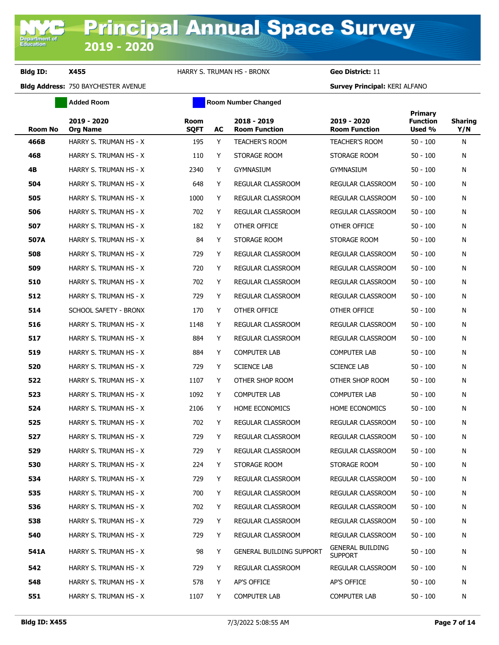**Added Room Room Room Number Changed** 

| <b>Room No</b> | 2019 - 2020<br><b>Org Name</b> | <b>Room</b><br><b>SQFT</b> | AC | 2018 - 2019<br><b>Room Function</b> | 2019 - 2020<br><b>Room Function</b>       | Primary<br><b>Function</b><br>Used % | <b>Sharing</b><br>Y/N |
|----------------|--------------------------------|----------------------------|----|-------------------------------------|-------------------------------------------|--------------------------------------|-----------------------|
| 466B           | HARRY S. TRUMAN HS - X         | 195                        | Y  | <b>TEACHER'S ROOM</b>               | <b>TEACHER'S ROOM</b>                     | $50 - 100$                           | N                     |
| 468            | HARRY S. TRUMAN HS - X         | 110                        | Y  | STORAGE ROOM                        | STORAGE ROOM                              | $50 - 100$                           | N                     |
| 4B             | HARRY S. TRUMAN HS - X         | 2340                       | Y  | <b>GYMNASIUM</b>                    | <b>GYMNASIUM</b>                          | $50 - 100$                           | N                     |
| 504            | HARRY S. TRUMAN HS - X         | 648                        | Y  | REGULAR CLASSROOM                   | REGULAR CLASSROOM                         | $50 - 100$                           | N                     |
| 505            | HARRY S. TRUMAN HS - X         | 1000                       | Y  | REGULAR CLASSROOM                   | REGULAR CLASSROOM                         | $50 - 100$                           | N                     |
| 506            | HARRY S. TRUMAN HS - X         | 702                        | Y  | REGULAR CLASSROOM                   | REGULAR CLASSROOM                         | $50 - 100$                           | N                     |
| 507            | HARRY S. TRUMAN HS - X         | 182                        | Y  | OTHER OFFICE                        | OTHER OFFICE                              | $50 - 100$                           | N                     |
| 507A           | HARRY S. TRUMAN HS - X         | 84                         | Y  | STORAGE ROOM                        | STORAGE ROOM                              | $50 - 100$                           | N                     |
| 508            | HARRY S. TRUMAN HS - X         | 729                        | Y  | REGULAR CLASSROOM                   | REGULAR CLASSROOM                         | $50 - 100$                           | N                     |
| 509            | HARRY S. TRUMAN HS - X         | 720                        | Y  | REGULAR CLASSROOM                   | REGULAR CLASSROOM                         | $50 - 100$                           | N                     |
| 510            | HARRY S. TRUMAN HS - X         | 702                        | Y  | REGULAR CLASSROOM                   | REGULAR CLASSROOM                         | $50 - 100$                           | N                     |
| 512            | HARRY S. TRUMAN HS - X         | 729                        | Y  | <b>REGULAR CLASSROOM</b>            | REGULAR CLASSROOM                         | $50 - 100$                           | N                     |
| 514            | SCHOOL SAFETY - BRONX          | 170                        | Y  | OTHER OFFICE                        | OTHER OFFICE                              | $50 - 100$                           | N                     |
| 516            | HARRY S. TRUMAN HS - X         | 1148                       | Y  | REGULAR CLASSROOM                   | REGULAR CLASSROOM                         | $50 - 100$                           | N                     |
| 517            | HARRY S. TRUMAN HS - X         | 884                        | Y  | REGULAR CLASSROOM                   | REGULAR CLASSROOM                         | $50 - 100$                           | N                     |
| 519            | HARRY S. TRUMAN HS - X         | 884                        | Y  | <b>COMPUTER LAB</b>                 | <b>COMPUTER LAB</b>                       | $50 - 100$                           | N                     |
| 520            | HARRY S. TRUMAN HS - X         | 729                        | Y  | <b>SCIENCE LAB</b>                  | <b>SCIENCE LAB</b>                        | $50 - 100$                           | N                     |
| 522            | HARRY S. TRUMAN HS - X         | 1107                       | Y  | OTHER SHOP ROOM                     | OTHER SHOP ROOM                           | $50 - 100$                           | N                     |
| 523            | HARRY S. TRUMAN HS - X         | 1092                       | Y  | <b>COMPUTER LAB</b>                 | <b>COMPUTER LAB</b>                       | $50 - 100$                           | N                     |
| 524            | HARRY S. TRUMAN HS - X         | 2106                       | Y  | HOME ECONOMICS                      | <b>HOME ECONOMICS</b>                     | $50 - 100$                           | N                     |
| 525            | HARRY S. TRUMAN HS - X         | 702                        | Y  | REGULAR CLASSROOM                   | REGULAR CLASSROOM                         | $50 - 100$                           | N                     |
| 527            | HARRY S. TRUMAN HS - X         | 729                        | Y  | REGULAR CLASSROOM                   | REGULAR CLASSROOM                         | $50 - 100$                           | N                     |
| 529            | HARRY S. TRUMAN HS - X         | 729                        | Y  | REGULAR CLASSROOM                   | REGULAR CLASSROOM                         | $50 - 100$                           | N                     |
| 530            | HARRY S. TRUMAN HS - X         | 224                        | Y  | STORAGE ROOM                        | STORAGE ROOM                              | $50 - 100$                           | N                     |
| 534            | HARRY S. TRUMAN HS - X         | 729                        | Υ  | REGULAR CLASSROOM                   | REGULAR CLASSROOM                         | $50 - 100$                           | N                     |
| 535            | HARRY S. TRUMAN HS - X         | 700                        | Y  | REGULAR CLASSROOM                   | <b>REGULAR CLASSROOM</b>                  | $50 - 100$                           | N                     |
| 536            | HARRY S. TRUMAN HS - X         | 702                        | Y  | REGULAR CLASSROOM                   | REGULAR CLASSROOM                         | $50 - 100$                           | N                     |
| 538            | HARRY S. TRUMAN HS - X         | 729                        | Y  | REGULAR CLASSROOM                   | REGULAR CLASSROOM                         | $50 - 100$                           | N                     |
| 540            | HARRY S. TRUMAN HS - X         | 729                        | Y  | REGULAR CLASSROOM                   | REGULAR CLASSROOM                         | $50 - 100$                           | N                     |
| 541A           | HARRY S. TRUMAN HS - X         | 98                         | Y  | <b>GENERAL BUILDING SUPPORT</b>     | <b>GENERAL BUILDING</b><br><b>SUPPORT</b> | $50 - 100$                           | N                     |
| 542            | HARRY S. TRUMAN HS - X         | 729                        | Y  | REGULAR CLASSROOM                   | REGULAR CLASSROOM                         | $50 - 100$                           | N                     |
| 548            | HARRY S. TRUMAN HS - X         | 578                        | Y  | AP'S OFFICE                         | AP'S OFFICE                               | $50 - 100$                           | N                     |
| 551            | HARRY S. TRUMAN HS - X         | 1107                       | Y  | <b>COMPUTER LAB</b>                 | <b>COMPUTER LAB</b>                       | $50 - 100$                           | N                     |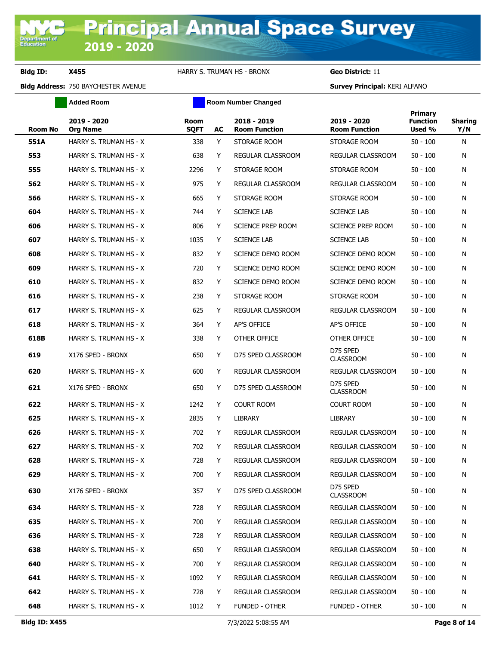**Added Room Room Room Number Changed** 

| <b>Room No</b> | 2019 - 2020<br><b>Org Name</b> | Room<br><b>SQFT</b> | AC | 2018 - 2019<br><b>Room Function</b> | 2019 - 2020<br><b>Room Function</b> | Primary<br><b>Function</b><br>Used % | <b>Sharing</b><br>Y/N |
|----------------|--------------------------------|---------------------|----|-------------------------------------|-------------------------------------|--------------------------------------|-----------------------|
| 551A           | HARRY S. TRUMAN HS - X         | 338                 | Y  | STORAGE ROOM                        | STORAGE ROOM                        | $50 - 100$                           | N                     |
| 553            | HARRY S. TRUMAN HS - X         | 638                 | Y  | REGULAR CLASSROOM                   | REGULAR CLASSROOM                   | $50 - 100$                           | N                     |
| 555            | HARRY S. TRUMAN HS - X         | 2296                | Y  | STORAGE ROOM                        | STORAGE ROOM                        | $50 - 100$                           | N                     |
| 562            | HARRY S. TRUMAN HS - X         | 975                 | Y  | REGULAR CLASSROOM                   | REGULAR CLASSROOM                   | $50 - 100$                           | N                     |
| 566            | HARRY S. TRUMAN HS - X         | 665                 | Y  | STORAGE ROOM                        | STORAGE ROOM                        | $50 - 100$                           | N                     |
| 604            | HARRY S. TRUMAN HS - X         | 744                 | Y  | <b>SCIENCE LAB</b>                  | <b>SCIENCE LAB</b>                  | $50 - 100$                           | N                     |
| 606            | HARRY S. TRUMAN HS - X         | 806                 | Y  | <b>SCIENCE PREP ROOM</b>            | <b>SCIENCE PREP ROOM</b>            | $50 - 100$                           | N                     |
| 607            | HARRY S. TRUMAN HS - X         | 1035                | Y  | <b>SCIENCE LAB</b>                  | <b>SCIENCE LAB</b>                  | $50 - 100$                           | N                     |
| 608            | HARRY S. TRUMAN HS - X         | 832                 | Υ  | SCIENCE DEMO ROOM                   | SCIENCE DEMO ROOM                   | $50 - 100$                           | N                     |
| 609            | HARRY S. TRUMAN HS - X         | 720                 | Y  | SCIENCE DEMO ROOM                   | SCIENCE DEMO ROOM                   | $50 - 100$                           | N                     |
| 610            | HARRY S. TRUMAN HS - X         | 832                 | Y  | <b>SCIENCE DEMO ROOM</b>            | SCIENCE DEMO ROOM                   | $50 - 100$                           | N                     |
| 616            | HARRY S. TRUMAN HS - X         | 238                 | Y  | STORAGE ROOM                        | STORAGE ROOM                        | $50 - 100$                           | N                     |
| 617            | HARRY S. TRUMAN HS - X         | 625                 | Y  | <b>REGULAR CLASSROOM</b>            | REGULAR CLASSROOM                   | $50 - 100$                           | N                     |
| 618            | HARRY S. TRUMAN HS - X         | 364                 | Y  | AP'S OFFICE                         | AP'S OFFICE                         | $50 - 100$                           | N                     |
| 618B           | HARRY S. TRUMAN HS - X         | 338                 | Y  | OTHER OFFICE                        | OTHER OFFICE                        | $50 - 100$                           | N                     |
| 619            | X176 SPED - BRONX              | 650                 | Y  | D75 SPED CLASSROOM                  | D75 SPED<br><b>CLASSROOM</b>        | $50 - 100$                           | N                     |
| 620            | HARRY S. TRUMAN HS - X         | 600                 | Υ  | REGULAR CLASSROOM                   | REGULAR CLASSROOM                   | $50 - 100$                           | N                     |
| 621            | X176 SPED - BRONX              | 650                 | Y  | D75 SPED CLASSROOM                  | D75 SPED<br><b>CLASSROOM</b>        | $50 - 100$                           | N                     |
| 622            | HARRY S. TRUMAN HS - X         | 1242                | Y  | <b>COURT ROOM</b>                   | COURT ROOM                          | $50 - 100$                           | N                     |
| 625            | HARRY S. TRUMAN HS - X         | 2835                | Y  | LIBRARY                             | LIBRARY                             | $50 - 100$                           | N                     |
| 626            | HARRY S. TRUMAN HS - X         | 702                 | Y  | <b>REGULAR CLASSROOM</b>            | REGULAR CLASSROOM                   | $50 - 100$                           | N                     |
| 627            | HARRY S. TRUMAN HS - X         | 702                 | Y  | REGULAR CLASSROOM                   | <b>REGULAR CLASSROOM</b>            | $50 - 100$                           | N                     |
| 628            | HARRY S. TRUMAN HS - X         | 728                 | Y  | REGULAR CLASSROOM                   | REGULAR CLASSROOM                   | $50 - 100$                           | N                     |
| 629            | HARRY S. TRUMAN HS - X         | 700                 | Y  | REGULAR CLASSROOM                   | REGULAR CLASSROOM                   | $50 - 100$                           | N                     |
| 630            | X176 SPED - BRONX              | 357                 | Y  | D75 SPED CLASSROOM                  | D75 SPED<br><b>CLASSROOM</b>        | $50 - 100$                           | N                     |
| 634            | HARRY S. TRUMAN HS - X         | 728                 | Y  | REGULAR CLASSROOM                   | REGULAR CLASSROOM                   | $50 - 100$                           | N                     |
| 635            | HARRY S. TRUMAN HS - X         | 700                 | Y  | REGULAR CLASSROOM                   | REGULAR CLASSROOM                   | $50 - 100$                           | N                     |
| 636            | HARRY S. TRUMAN HS - X         | 728                 | Y  | REGULAR CLASSROOM                   | REGULAR CLASSROOM                   | 50 - 100                             | N                     |
| 638            | HARRY S. TRUMAN HS - X         | 650                 | Y  | REGULAR CLASSROOM                   | REGULAR CLASSROOM                   | $50 - 100$                           | N                     |
| 640            | HARRY S. TRUMAN HS - X         | 700                 | Y  | REGULAR CLASSROOM                   | REGULAR CLASSROOM                   | $50 - 100$                           | N                     |
| 641            | HARRY S. TRUMAN HS - X         | 1092                | Y  | <b>REGULAR CLASSROOM</b>            | REGULAR CLASSROOM                   | $50 - 100$                           | N                     |
| 642            | HARRY S. TRUMAN HS - X         | 728                 | Y  | REGULAR CLASSROOM                   | REGULAR CLASSROOM                   | 50 - 100                             | N                     |
| 648            | HARRY S. TRUMAN HS - X         | 1012                | Y  | FUNDED - OTHER                      | FUNDED - OTHER                      | $50 - 100$                           | N                     |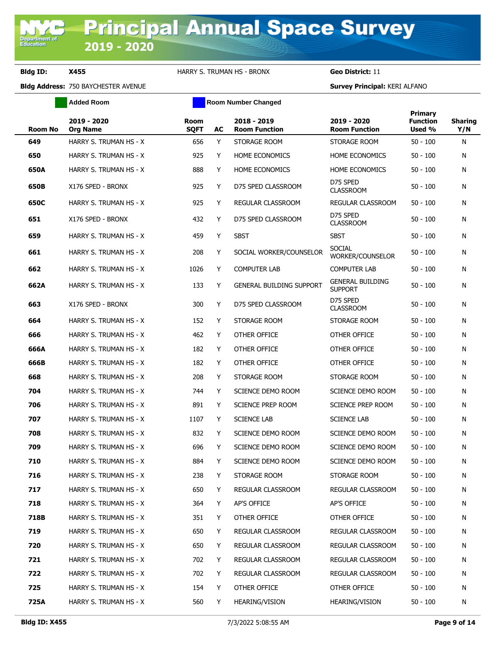**Added Room Room Room Number Changed** 

| <b>Room No</b> | 2019 - 2020<br><b>Org Name</b> | Room<br><b>SQFT</b> | AC | 2018 - 2019<br><b>Room Function</b> | 2019 - 2020<br><b>Room Function</b>       | <b>Primary</b><br><b>Function</b><br>Used % | <b>Sharing</b><br>Y/N |
|----------------|--------------------------------|---------------------|----|-------------------------------------|-------------------------------------------|---------------------------------------------|-----------------------|
| 649            | HARRY S. TRUMAN HS - X         | 656                 | Y  | STORAGE ROOM                        | STORAGE ROOM                              | $50 - 100$                                  | N                     |
| 650            | HARRY S. TRUMAN HS - X         | 925                 | Y  | <b>HOME ECONOMICS</b>               | <b>HOME ECONOMICS</b>                     | 50 - 100                                    | N                     |
| 650A           | HARRY S. TRUMAN HS - X         | 888                 | Y  | <b>HOME ECONOMICS</b>               | <b>HOME ECONOMICS</b>                     | 50 - 100                                    | N                     |
| 650B           | X176 SPED - BRONX              | 925                 | Y  | D75 SPED CLASSROOM                  | D75 SPED<br><b>CLASSROOM</b>              | 50 - 100                                    | N                     |
| 650C           | HARRY S. TRUMAN HS - X         | 925                 | Y  | REGULAR CLASSROOM                   | <b>REGULAR CLASSROOM</b>                  | 50 - 100                                    | N                     |
| 651            | X176 SPED - BRONX              | 432                 | Y  | D75 SPED CLASSROOM                  | D75 SPED<br><b>CLASSROOM</b>              | 50 - 100                                    | N                     |
| 659            | HARRY S. TRUMAN HS - X         | 459                 | Y  | <b>SBST</b>                         | <b>SBST</b>                               | 50 - 100                                    | N                     |
| 661            | HARRY S. TRUMAN HS - X         | 208                 | Y  | SOCIAL WORKER/COUNSELOR             | <b>SOCIAL</b><br>WORKER/COUNSELOR         | 50 - 100                                    | N                     |
| 662            | HARRY S. TRUMAN HS - X         | 1026                | Y  | <b>COMPUTER LAB</b>                 | <b>COMPUTER LAB</b>                       | 50 - 100                                    | N                     |
| 662A           | HARRY S. TRUMAN HS - X         | 133                 | Y  | <b>GENERAL BUILDING SUPPORT</b>     | <b>GENERAL BUILDING</b><br><b>SUPPORT</b> | 50 - 100                                    | N                     |
| 663            | X176 SPED - BRONX              | 300                 | Y  | D75 SPED CLASSROOM                  | D75 SPED<br><b>CLASSROOM</b>              | $50 - 100$                                  | N                     |
| 664            | HARRY S. TRUMAN HS - X         | 152                 | Y  | STORAGE ROOM                        | STORAGE ROOM                              | 50 - 100                                    | N                     |
| 666            | HARRY S. TRUMAN HS - X         | 462                 | Y  | OTHER OFFICE                        | OTHER OFFICE                              | 50 - 100                                    | N                     |
| 666A           | HARRY S. TRUMAN HS - X         | 182                 | Y  | OTHER OFFICE                        | OTHER OFFICE                              | 50 - 100                                    | N                     |
| 666B           | HARRY S. TRUMAN HS - X         | 182                 | Y  | OTHER OFFICE                        | OTHER OFFICE                              | 50 - 100                                    | N                     |
| 668            | HARRY S. TRUMAN HS - X         | 208                 | Y  | STORAGE ROOM                        | STORAGE ROOM                              | 50 - 100                                    | N                     |
| 704            | HARRY S. TRUMAN HS - X         | 744                 | Y  | SCIENCE DEMO ROOM                   | SCIENCE DEMO ROOM                         | 50 - 100                                    | N                     |
| 706            | HARRY S. TRUMAN HS - X         | 891                 | Y  | SCIENCE PREP ROOM                   | SCIENCE PREP ROOM                         | $50 - 100$                                  | N                     |
| 707            | HARRY S. TRUMAN HS - X         | 1107                | Y  | <b>SCIENCE LAB</b>                  | <b>SCIENCE LAB</b>                        | $50 - 100$                                  | N                     |
| 708            | HARRY S. TRUMAN HS - X         | 832                 | Y  | SCIENCE DEMO ROOM                   | SCIENCE DEMO ROOM                         | $50 - 100$                                  | N                     |
| 709            | HARRY S. TRUMAN HS - X         | 696                 | Y  | SCIENCE DEMO ROOM                   | SCIENCE DEMO ROOM                         | $50 - 100$                                  | N                     |
| 710            | HARRY S. TRUMAN HS - X         | 884                 | Y  | SCIENCE DEMO ROOM                   | SCIENCE DEMO ROOM                         | $50 - 100$                                  | N                     |
| 716            | HARRY S. TRUMAN HS - X         | 238                 | Y  | STORAGE ROOM                        | STORAGE ROOM                              | $50 - 100$                                  | N                     |
| 717            | HARRY S. TRUMAN HS - X         | 650                 | Y  | REGULAR CLASSROOM                   | REGULAR CLASSROOM                         | 50 - 100                                    | N                     |
| 718            | HARRY S. TRUMAN HS - X         | 364                 | Y  | AP'S OFFICE                         | AP'S OFFICE                               | 50 - 100                                    | N                     |
| 718B           | HARRY S. TRUMAN HS - X         | 351                 | Y  | OTHER OFFICE                        | OTHER OFFICE                              | 50 - 100                                    | N                     |
| 719            | HARRY S. TRUMAN HS - X         | 650                 | Y  | REGULAR CLASSROOM                   | REGULAR CLASSROOM                         | $50 - 100$                                  | N                     |
| 720            | HARRY S. TRUMAN HS - X         | 650                 | Y  | REGULAR CLASSROOM                   | REGULAR CLASSROOM                         | 50 - 100                                    | N                     |
| 721            | HARRY S. TRUMAN HS - X         | 702                 | Y  | REGULAR CLASSROOM                   | REGULAR CLASSROOM                         | $50 - 100$                                  | N                     |
| 722            | HARRY S. TRUMAN HS - X         | 702                 | Y  | REGULAR CLASSROOM                   | REGULAR CLASSROOM                         | $50 - 100$                                  | N                     |
| 725            | HARRY S. TRUMAN HS - X         | 154                 | Y  | OTHER OFFICE                        | OTHER OFFICE                              | $50 - 100$                                  | N                     |
| 725A           | HARRY S. TRUMAN HS - X         | 560                 | Y  | <b>HEARING/VISION</b>               | HEARING/VISION                            | $50 - 100$                                  | N                     |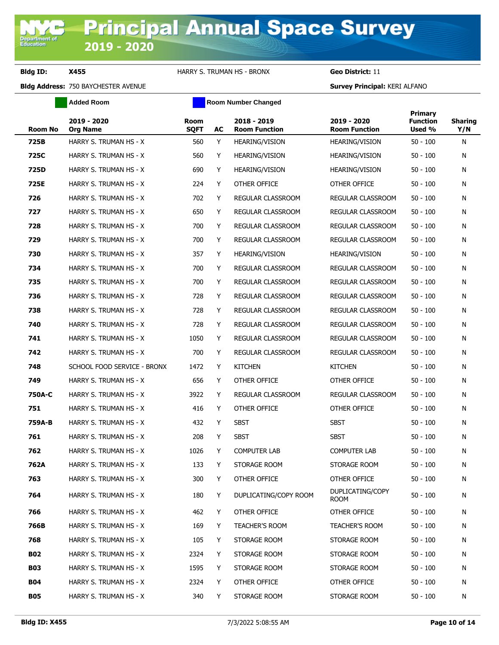**Added Room Room Room Number Changed** 

| <b>Room No</b> | 2019 - 2020<br><b>Org Name</b> | <b>Room</b><br><b>SQFT</b> | AC | 2018 - 2019<br><b>Room Function</b> | 2019 - 2020<br><b>Room Function</b> | Primary<br><b>Function</b><br>Used % | <b>Sharing</b><br>Y/N |
|----------------|--------------------------------|----------------------------|----|-------------------------------------|-------------------------------------|--------------------------------------|-----------------------|
| 725B           | HARRY S. TRUMAN HS - X         | 560                        | Y  | <b>HEARING/VISION</b>               | <b>HEARING/VISION</b>               | $50 - 100$                           | N                     |
| 725C           | HARRY S. TRUMAN HS - X         | 560                        | Y  | <b>HEARING/VISION</b>               | HEARING/VISION                      | $50 - 100$                           | N                     |
| 725D           | HARRY S. TRUMAN HS - X         | 690                        | Y  | <b>HEARING/VISION</b>               | HEARING/VISION                      | $50 - 100$                           | N                     |
| 725E           | HARRY S. TRUMAN HS - X         | 224                        | Y  | OTHER OFFICE                        | OTHER OFFICE                        | $50 - 100$                           | N                     |
| 726            | HARRY S. TRUMAN HS - X         | 702                        | Y  | <b>REGULAR CLASSROOM</b>            | REGULAR CLASSROOM                   | $50 - 100$                           | N                     |
| 727            | HARRY S. TRUMAN HS - X         | 650                        | Y  | REGULAR CLASSROOM                   | REGULAR CLASSROOM                   | $50 - 100$                           | N                     |
| 728            | HARRY S. TRUMAN HS - X         | 700                        | Y  | REGULAR CLASSROOM                   | REGULAR CLASSROOM                   | $50 - 100$                           | N                     |
| 729            | HARRY S. TRUMAN HS - X         | 700                        | Y  | REGULAR CLASSROOM                   | REGULAR CLASSROOM                   | $50 - 100$                           | N                     |
| 730            | HARRY S. TRUMAN HS - X         | 357                        | Y  | <b>HEARING/VISION</b>               | HEARING/VISION                      | $50 - 100$                           | N                     |
| 734            | HARRY S. TRUMAN HS - X         | 700                        | Y  | REGULAR CLASSROOM                   | REGULAR CLASSROOM                   | $50 - 100$                           | N                     |
| 735            | HARRY S. TRUMAN HS - X         | 700                        | Y  | REGULAR CLASSROOM                   | REGULAR CLASSROOM                   | $50 - 100$                           | N                     |
| 736            | HARRY S. TRUMAN HS - X         | 728                        | Y  | REGULAR CLASSROOM                   | REGULAR CLASSROOM                   | $50 - 100$                           | N                     |
| 738            | HARRY S. TRUMAN HS - X         | 728                        | Y  | REGULAR CLASSROOM                   | REGULAR CLASSROOM                   | $50 - 100$                           | N                     |
| 740            | HARRY S. TRUMAN HS - X         | 728                        | Y  | REGULAR CLASSROOM                   | REGULAR CLASSROOM                   | $50 - 100$                           | N                     |
| 741            | HARRY S. TRUMAN HS - X         | 1050                       | Y  | REGULAR CLASSROOM                   | REGULAR CLASSROOM                   | $50 - 100$                           | N                     |
| 742            | HARRY S. TRUMAN HS - X         | 700                        | Y  | REGULAR CLASSROOM                   | REGULAR CLASSROOM                   | $50 - 100$                           | N                     |
| 748            | SCHOOL FOOD SERVICE - BRONX    | 1472                       | Y  | <b>KITCHEN</b>                      | <b>KITCHEN</b>                      | $50 - 100$                           | N                     |
| 749            | HARRY S. TRUMAN HS - X         | 656                        | Y  | OTHER OFFICE                        | OTHER OFFICE                        | $50 - 100$                           | N                     |
| 750A-C         | HARRY S. TRUMAN HS - X         | 3922                       | Y  | REGULAR CLASSROOM                   | REGULAR CLASSROOM                   | $50 - 100$                           | N                     |
| 751            | HARRY S. TRUMAN HS - X         | 416                        | Y  | OTHER OFFICE                        | OTHER OFFICE                        | $50 - 100$                           | N                     |
| 759A-B         | HARRY S. TRUMAN HS - X         | 432                        | Y  | <b>SBST</b>                         | <b>SBST</b>                         | $50 - 100$                           | N                     |
| 761            | HARRY S. TRUMAN HS - X         | 208                        | Y  | <b>SBST</b>                         | <b>SBST</b>                         | $50 - 100$                           | N                     |
| 762            | HARRY S. TRUMAN HS - X         | 1026                       | Y  | <b>COMPUTER LAB</b>                 | <b>COMPUTER LAB</b>                 | $50 - 100$                           | N                     |
| 762A           | HARRY S. TRUMAN HS - X         | 133                        | Y  | STORAGE ROOM                        | STORAGE ROOM                        | $50 - 100$                           | N                     |
| 763            | HARRY S. TRUMAN HS - X         | 300                        | Y  | OTHER OFFICE                        | OTHER OFFICE                        | $50 - 100$                           | N                     |
| 764            | HARRY S. TRUMAN HS - X         | 180                        | Y  | DUPLICATING/COPY ROOM               | DUPLICATING/COPY<br><b>ROOM</b>     | $50 - 100$                           | N                     |
| 766            | HARRY S. TRUMAN HS - X         | 462                        | Y  | OTHER OFFICE                        | OTHER OFFICE                        | $50 - 100$                           | N                     |
| 766B           | HARRY S. TRUMAN HS - X         | 169                        | Y  | <b>TEACHER'S ROOM</b>               | <b>TEACHER'S ROOM</b>               | $50 - 100$                           | N                     |
| 768            | HARRY S. TRUMAN HS - X         | 105                        | Y  | STORAGE ROOM                        | STORAGE ROOM                        | $50 - 100$                           | N                     |
| <b>B02</b>     | HARRY S. TRUMAN HS - X         | 2324                       | Y  | STORAGE ROOM                        | STORAGE ROOM                        | $50 - 100$                           | N                     |
| <b>B03</b>     | HARRY S. TRUMAN HS - X         | 1595                       | Y  | STORAGE ROOM                        | STORAGE ROOM                        | $50 - 100$                           | N                     |
| <b>B04</b>     | HARRY S. TRUMAN HS - X         | 2324                       | Y  | OTHER OFFICE                        | OTHER OFFICE                        | $50 - 100$                           | N                     |
| <b>B05</b>     | HARRY S. TRUMAN HS - X         | 340                        | Y  | STORAGE ROOM                        | STORAGE ROOM                        | $50 - 100$                           | N                     |
|                |                                |                            |    |                                     |                                     |                                      |                       |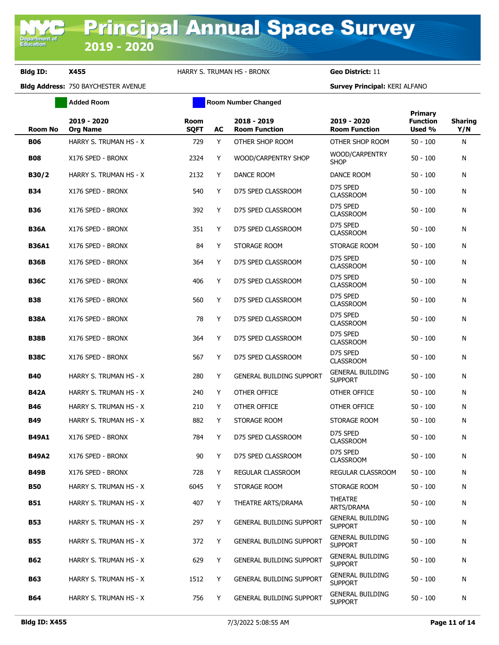**Added Room Room Room Number Changed** 

| <b>Room No</b> | 2019 - 2020<br><b>Org Name</b> | Room<br><b>SQFT</b> | AC | 2018 - 2019<br><b>Room Function</b> | 2019 - 2020<br><b>Room Function</b>       | Primary<br><b>Function</b><br>Used % | <b>Sharing</b><br>Y/N |
|----------------|--------------------------------|---------------------|----|-------------------------------------|-------------------------------------------|--------------------------------------|-----------------------|
| <b>B06</b>     | HARRY S. TRUMAN HS - X         | 729                 | Y  | OTHER SHOP ROOM                     | OTHER SHOP ROOM                           | $50 - 100$                           | N                     |
| <b>B08</b>     | X176 SPED - BRONX              | 2324                | Y  | WOOD/CARPENTRY SHOP                 | WOOD/CARPENTRY<br><b>SHOP</b>             | $50 - 100$                           | N                     |
| B30/2          | HARRY S. TRUMAN HS - X         | 2132                | Υ  | DANCE ROOM                          | DANCE ROOM                                | $50 - 100$                           | N                     |
| <b>B34</b>     | X176 SPED - BRONX              | 540                 | Y  | D75 SPED CLASSROOM                  | D75 SPED<br><b>CLASSROOM</b>              | $50 - 100$                           | N                     |
| <b>B36</b>     | X176 SPED - BRONX              | 392                 | Y  | D75 SPED CLASSROOM                  | D75 SPED<br><b>CLASSROOM</b>              | $50 - 100$                           | N                     |
| <b>B36A</b>    | X176 SPED - BRONX              | 351                 | Y  | D75 SPED CLASSROOM                  | D75 SPED<br><b>CLASSROOM</b>              | $50 - 100$                           | N                     |
| <b>B36A1</b>   | X176 SPED - BRONX              | 84                  | Y  | STORAGE ROOM                        | STORAGE ROOM                              | $50 - 100$                           | N                     |
| <b>B36B</b>    | X176 SPED - BRONX              | 364                 | Y  | D75 SPED CLASSROOM                  | D75 SPED<br><b>CLASSROOM</b>              | $50 - 100$                           | N                     |
| <b>B36C</b>    | X176 SPED - BRONX              | 406                 | Y  | D75 SPED CLASSROOM                  | D75 SPED<br><b>CLASSROOM</b>              | $50 - 100$                           | N                     |
| <b>B38</b>     | X176 SPED - BRONX              | 560                 | Y  | D75 SPED CLASSROOM                  | D75 SPED<br><b>CLASSROOM</b>              | $50 - 100$                           | N                     |
| <b>B38A</b>    | X176 SPED - BRONX              | 78                  | Y  | D75 SPED CLASSROOM                  | D75 SPED<br><b>CLASSROOM</b>              | $50 - 100$                           | N                     |
| <b>B38B</b>    | X176 SPED - BRONX              | 364                 | Y  | D75 SPED CLASSROOM                  | D75 SPED<br><b>CLASSROOM</b>              | $50 - 100$                           | N                     |
| <b>B38C</b>    | X176 SPED - BRONX              | 567                 | Y  | D75 SPED CLASSROOM                  | D75 SPED<br><b>CLASSROOM</b>              | $50 - 100$                           | N                     |
| <b>B40</b>     | HARRY S. TRUMAN HS - X         | 280                 | Y  | <b>GENERAL BUILDING SUPPORT</b>     | <b>GENERAL BUILDING</b><br><b>SUPPORT</b> | $50 - 100$                           | N                     |
| <b>B42A</b>    | HARRY S. TRUMAN HS - X         | 240                 | Y  | OTHER OFFICE                        | OTHER OFFICE                              | $50 - 100$                           | N                     |
| <b>B46</b>     | HARRY S. TRUMAN HS - X         | 210                 | Y  | OTHER OFFICE                        | OTHER OFFICE                              | $50 - 100$                           | N                     |
| <b>B49</b>     | HARRY S. TRUMAN HS - X         | 882                 | Y  | STORAGE ROOM                        | STORAGE ROOM                              | $50 - 100$                           | N                     |
| <b>B49A1</b>   | X176 SPED - BRONX              | 784                 | Y  | D75 SPED CLASSROOM                  | D75 SPED<br><b>CLASSROOM</b>              | $50 - 100$                           | N                     |
| <b>B49A2</b>   | X176 SPED - BRONX              | 90                  | Y  | D75 SPED CLASSROOM                  | D75 SPED<br><b>CLASSROOM</b>              | $50 - 100$                           | N                     |
| <b>B49B</b>    | X176 SPED - BRONX              | 728                 | Y. | REGULAR CLASSROOM                   | REGULAR CLASSROOM                         | $50 - 100$                           | N                     |
| <b>B50</b>     | HARRY S. TRUMAN HS - X         | 6045                | Y  | STORAGE ROOM                        | STORAGE ROOM                              | $50 - 100$                           | N                     |
| <b>B51</b>     | HARRY S. TRUMAN HS - X         | 407                 | Y  | THEATRE ARTS/DRAMA                  | <b>THEATRE</b><br>ARTS/DRAMA              | $50 - 100$                           | N                     |
| <b>B53</b>     | HARRY S. TRUMAN HS - X         | 297                 | Y  | GENERAL BUILDING SUPPORT            | <b>GENERAL BUILDING</b><br><b>SUPPORT</b> | $50 - 100$                           | N                     |
| <b>B55</b>     | HARRY S. TRUMAN HS - X         | 372                 | Y  | GENERAL BUILDING SUPPORT            | <b>GENERAL BUILDING</b><br><b>SUPPORT</b> | $50 - 100$                           | N                     |
| B62            | HARRY S. TRUMAN HS - X         | 629                 | Y  | <b>GENERAL BUILDING SUPPORT</b>     | <b>GENERAL BUILDING</b><br><b>SUPPORT</b> | $50 - 100$                           | N                     |
| <b>B63</b>     | HARRY S. TRUMAN HS - X         | 1512                | Y  | <b>GENERAL BUILDING SUPPORT</b>     | <b>GENERAL BUILDING</b><br><b>SUPPORT</b> | $50 - 100$                           | N                     |
| B64            | HARRY S. TRUMAN HS - X         | 756                 | Y  | <b>GENERAL BUILDING SUPPORT</b>     | <b>GENERAL BUILDING</b><br><b>SUPPORT</b> | $50 - 100$                           | N                     |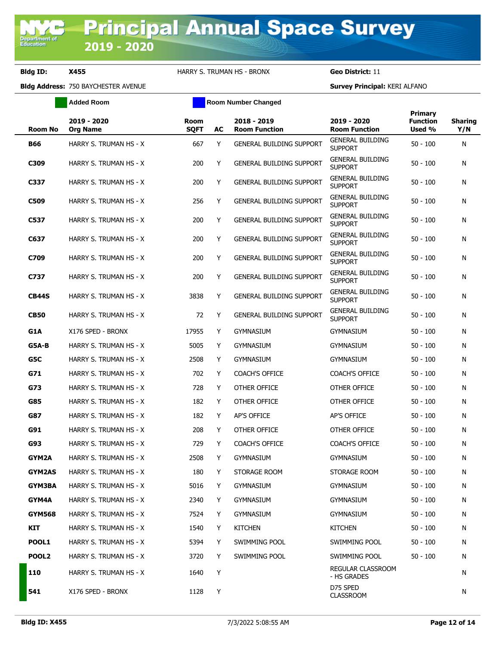**Added Room Room Room Number Changed** 

| <b>Room No</b>    | 2019 - 2020<br><b>Org Name</b> | <b>Room</b><br><b>SQFT</b> | AC | 2018 - 2019<br><b>Room Function</b> | 2019 - 2020<br><b>Room Function</b>       | Primary<br><b>Function</b><br>Used % | <b>Sharing</b><br>Y/N |
|-------------------|--------------------------------|----------------------------|----|-------------------------------------|-------------------------------------------|--------------------------------------|-----------------------|
| <b>B66</b>        | HARRY S. TRUMAN HS - X         | 667                        | Y  | <b>GENERAL BUILDING SUPPORT</b>     | <b>GENERAL BUILDING</b><br><b>SUPPORT</b> | $50 - 100$                           | N                     |
| C309              | HARRY S. TRUMAN HS - X         | 200                        | Y  | <b>GENERAL BUILDING SUPPORT</b>     | <b>GENERAL BUILDING</b><br><b>SUPPORT</b> | 50 - 100                             | N                     |
| C337              | HARRY S. TRUMAN HS - X         | 200                        | Y  | <b>GENERAL BUILDING SUPPORT</b>     | <b>GENERAL BUILDING</b><br><b>SUPPORT</b> | 50 - 100                             | N                     |
| C509              | HARRY S. TRUMAN HS - X         | 256                        | Y  | <b>GENERAL BUILDING SUPPORT</b>     | <b>GENERAL BUILDING</b><br><b>SUPPORT</b> | 50 - 100                             | N                     |
| C537              | HARRY S. TRUMAN HS - X         | 200                        | Y  | <b>GENERAL BUILDING SUPPORT</b>     | GENERAL BUILDING<br><b>SUPPORT</b>        | $50 - 100$                           | N                     |
| C637              | HARRY S. TRUMAN HS - X         | 200                        | Y  | <b>GENERAL BUILDING SUPPORT</b>     | GENERAL BUILDING<br><b>SUPPORT</b>        | 50 - 100                             | N                     |
| C709              | HARRY S. TRUMAN HS - X         | 200                        | Y  | <b>GENERAL BUILDING SUPPORT</b>     | GENERAL BUILDING<br><b>SUPPORT</b>        | 50 - 100                             | N                     |
| C737              | HARRY S. TRUMAN HS - X         | 200                        | Y  | <b>GENERAL BUILDING SUPPORT</b>     | <b>GENERAL BUILDING</b><br><b>SUPPORT</b> | 50 - 100                             | N                     |
| <b>CB44S</b>      | HARRY S. TRUMAN HS - X         | 3838                       | Y  | <b>GENERAL BUILDING SUPPORT</b>     | <b>GENERAL BUILDING</b><br><b>SUPPORT</b> | 50 - 100                             | N                     |
| <b>CB50</b>       | HARRY S. TRUMAN HS - X         | 72                         | Y  | <b>GENERAL BUILDING SUPPORT</b>     | GENERAL BUILDING<br><b>SUPPORT</b>        | 50 - 100                             | N                     |
| G1A               | X176 SPED - BRONX              | 17955                      | Y  | <b>GYMNASIUM</b>                    | <b>GYMNASIUM</b>                          | 50 - 100                             | N                     |
| G5A-B             | HARRY S. TRUMAN HS - X         | 5005                       | Y  | <b>GYMNASIUM</b>                    | <b>GYMNASIUM</b>                          | 50 - 100                             | N                     |
| G5C               | HARRY S. TRUMAN HS - X         | 2508                       | Y  | <b>GYMNASIUM</b>                    | gymnasium                                 | 50 - 100                             | N                     |
| G71               | HARRY S. TRUMAN HS - X         | 702                        | Y  | <b>COACH'S OFFICE</b>               | <b>COACH'S OFFICE</b>                     | 50 - 100                             | N                     |
| G73               | HARRY S. TRUMAN HS - X         | 728                        | Y  | OTHER OFFICE                        | OTHER OFFICE                              | 50 - 100                             | N                     |
| G85               | HARRY S. TRUMAN HS - X         | 182                        | Y  | OTHER OFFICE                        | OTHER OFFICE                              | 50 - 100                             | N                     |
| G87               | HARRY S. TRUMAN HS - X         | 182                        | Y  | <b>AP'S OFFICE</b>                  | AP'S OFFICE                               | 50 - 100                             | N                     |
| G91               | HARRY S. TRUMAN HS - X         | 208                        | Y  | OTHER OFFICE                        | OTHER OFFICE                              | $50 - 100$                           | N                     |
| G93               | HARRY S. TRUMAN HS - X         | 729                        | Y  | <b>COACH'S OFFICE</b>               | <b>COACH'S OFFICE</b>                     | 50 - 100                             | N                     |
| GYM2A             | HARRY S. TRUMAN HS - X         | 2508                       | Y  | GYMNASIUM                           | <b>GYMNASIUM</b>                          | 50 - 100                             | N                     |
| <b>GYM2AS</b>     | HARRY S. TRUMAN HS - X         | 180                        | Y. | STORAGE ROOM                        | STORAGE ROOM                              | $50 - 100$                           | N                     |
| <b>GYM3BA</b>     | HARRY S. TRUMAN HS - X         | 5016                       | Y  | <b>GYMNASIUM</b>                    | <b>GYMNASIUM</b>                          | $50 - 100$                           | N                     |
| GYM4A             | HARRY S. TRUMAN HS - X         | 2340                       | Y  | <b>GYMNASIUM</b>                    | GYMNASIUM                                 | $50 - 100$                           | N                     |
| <b>GYM568</b>     | HARRY S. TRUMAN HS - X         | 7524                       | Y  | <b>GYMNASIUM</b>                    | <b>GYMNASIUM</b>                          | 50 - 100                             | N                     |
| KIT               | HARRY S. TRUMAN HS - X         | 1540                       | Y  | <b>KITCHEN</b>                      | <b>KITCHEN</b>                            | $50 - 100$                           | N                     |
| POOL1             | HARRY S. TRUMAN HS - X         | 5394                       | Y  | SWIMMING POOL                       | SWIMMING POOL                             | $50 - 100$                           | N                     |
| POOL <sub>2</sub> | HARRY S. TRUMAN HS - X         | 3720                       | Y  | SWIMMING POOL                       | SWIMMING POOL                             | 50 - 100                             | N                     |
| 110               | HARRY S. TRUMAN HS - X         | 1640                       | Y  |                                     | <b>REGULAR CLASSROOM</b><br>- HS GRADES   |                                      | N                     |
| 541               | X176 SPED - BRONX              | 1128                       | Y  |                                     | D75 SPED<br><b>CLASSROOM</b>              |                                      | N                     |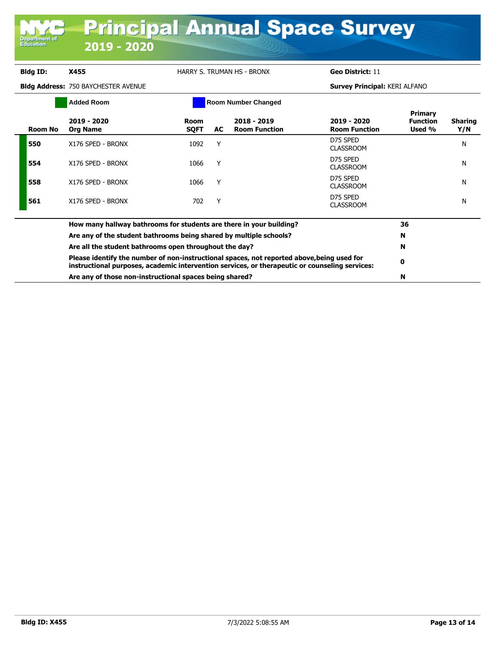| Department of<br><b>Education</b> | 2019 - 2020                                                                                                                                                                                                                                                                                                                                                                                                                                                    |                            |    | <b>Principal Annual Space Survey</b> |                                      |                                             |                       |
|-----------------------------------|----------------------------------------------------------------------------------------------------------------------------------------------------------------------------------------------------------------------------------------------------------------------------------------------------------------------------------------------------------------------------------------------------------------------------------------------------------------|----------------------------|----|--------------------------------------|--------------------------------------|---------------------------------------------|-----------------------|
| <b>Bldg ID:</b>                   | X455                                                                                                                                                                                                                                                                                                                                                                                                                                                           | HARRY S. TRUMAN HS - BRONX |    |                                      | Geo District: 11                     |                                             |                       |
|                                   | <b>Bidg Address: 750 BAYCHESTER AVENUE</b>                                                                                                                                                                                                                                                                                                                                                                                                                     |                            |    |                                      | <b>Survey Principal: KERI ALFANO</b> |                                             |                       |
|                                   | <b>Added Room</b>                                                                                                                                                                                                                                                                                                                                                                                                                                              | <b>Room Number Changed</b> |    |                                      |                                      |                                             |                       |
| <b>Room No</b>                    | 2019 - 2020<br><b>Org Name</b>                                                                                                                                                                                                                                                                                                                                                                                                                                 | <b>Room</b><br><b>SQFT</b> | AC | 2018 - 2019<br><b>Room Function</b>  | 2019 - 2020<br><b>Room Function</b>  | <b>Primary</b><br><b>Function</b><br>Used % | <b>Sharing</b><br>Y/N |
| 550                               | X176 SPED - BRONX                                                                                                                                                                                                                                                                                                                                                                                                                                              | 1092                       | Y  |                                      | D75 SPED<br><b>CLASSROOM</b>         |                                             | N                     |
| 554                               | X176 SPED - BRONX                                                                                                                                                                                                                                                                                                                                                                                                                                              | 1066                       | Y  |                                      | D75 SPED<br><b>CLASSROOM</b>         |                                             | N                     |
| 558                               | X176 SPED - BRONX                                                                                                                                                                                                                                                                                                                                                                                                                                              | 1066                       | Y  |                                      | D75 SPED<br><b>CLASSROOM</b>         |                                             | N                     |
| 561                               | X176 SPED - BRONX                                                                                                                                                                                                                                                                                                                                                                                                                                              | 702                        | Y  |                                      | D75 SPED<br><b>CLASSROOM</b>         |                                             | N                     |
|                                   | How many hallway bathrooms for students are there in your building?<br>Are any of the student bathrooms being shared by multiple schools?<br>Are all the student bathrooms open throughout the day?<br>Please identify the number of non-instructional spaces, not reported above, being used for<br>instructional purposes, academic intervention services, or therapeutic or counseling services:<br>Are any of those non-instructional spaces being shared? |                            |    |                                      |                                      |                                             |                       |
|                                   |                                                                                                                                                                                                                                                                                                                                                                                                                                                                |                            |    |                                      |                                      |                                             |                       |
|                                   |                                                                                                                                                                                                                                                                                                                                                                                                                                                                |                            |    |                                      |                                      |                                             |                       |
|                                   |                                                                                                                                                                                                                                                                                                                                                                                                                                                                |                            |    |                                      |                                      |                                             |                       |
|                                   |                                                                                                                                                                                                                                                                                                                                                                                                                                                                |                            |    |                                      |                                      |                                             |                       |